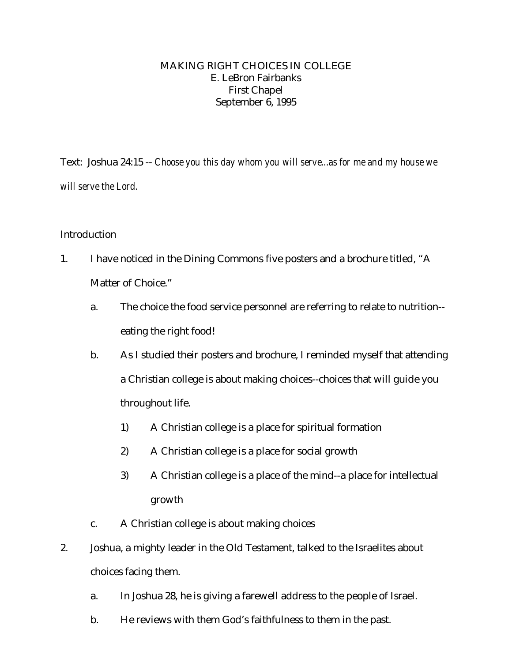#### MAKING RIGHT CHOICES IN COLLEGE E. LeBron Fairbanks First Chapel September 6, 1995

Text: Joshua 24:15 -- *Choose you this day whom you will serve...as for me and my house we will serve the Lord.*

## Introduction

- 1. I have noticed in the Dining Commons five posters and a brochure titled, "A Matter of Choice."
	- a. The choice the food service personnel are referring to relate to nutrition- eating the right food!
	- b. As I studied their posters and brochure, I reminded myself that attending a Christian college is about making choices--choices that will guide you throughout life.
		- 1) A Christian college is a place for spiritual formation
		- 2) A Christian college is a place for social growth
		- 3) A Christian college is a place of the mind--a place for intellectual growth
	- c. A Christian college is about making choices
- 2. Joshua, a mighty leader in the Old Testament, talked to the Israelites about choices facing them.
	- a. In Joshua 28, he is giving a farewell address to the people of Israel.
	- b. He reviews with them God's faithfulness to them in the past.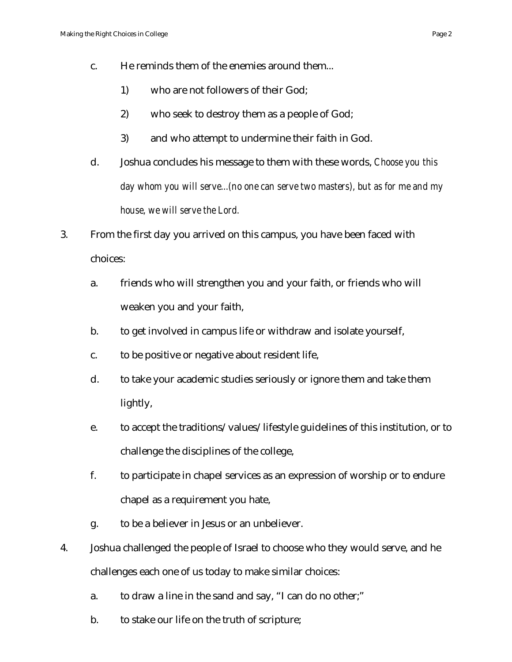- c. He reminds them of the enemies around them...
	- 1) who are not followers of their God;
	- 2) who seek to destroy them as a people of God;
	- 3) and who attempt to undermine their faith in God.
- d. Joshua concludes his message to them with these words, *Choose you this day whom you will serve...(no one can serve two masters), but as for me and my house, we will serve the Lord.*
- 3. From the first day you arrived on this campus, you have been faced with choices:
	- a. friends who will strengthen you and your faith, or friends who will weaken you and your faith,
	- b. to get involved in campus life or withdraw and isolate yourself,
	- c. to be positive or negative about resident life,
	- d. to take your academic studies seriously or ignore them and take them lightly,
	- e. to accept the traditions/values/lifestyle guidelines of this institution, or to challenge the disciplines of the college,
	- f. to participate in chapel services as an expression of worship or to endure chapel as a requirement you hate,
	- g. to be a believer in Jesus or an unbeliever.
- 4. Joshua challenged the people of Israel to choose who they would serve, and he challenges each one of us today to make similar choices:
	- a. to draw a line in the sand and say, "I can do no other;"
	- b. to stake our life on the truth of scripture;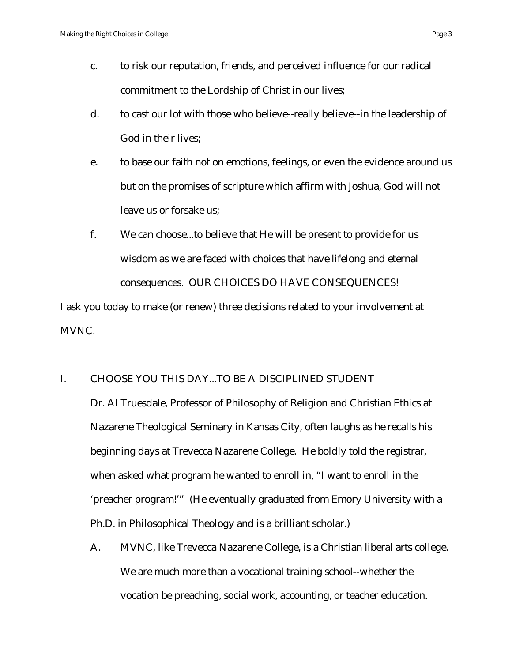- c. to risk our reputation, friends, and perceived influence for our radical commitment to the Lordship of Christ in our lives;
- d. to cast our lot with those who believe--really believe--in the leadership of God in their lives;
- e. to base our faith not on emotions, feelings, or even the evidence around us but on the promises of scripture which affirm with Joshua, God will not leave us or forsake us;
- f. We can choose...to believe that He will be present to provide for us wisdom as we are faced with choices that have lifelong and eternal consequences. OUR CHOICES DO HAVE CONSEQUENCES!

I ask you today to make (or renew) three decisions related to your involvement at MVNC.

## I. CHOOSE YOU THIS DAY...TO BE A DISCIPLINED STUDENT

Dr. Al Truesdale, Professor of Philosophy of Religion and Christian Ethics at Nazarene Theological Seminary in Kansas City, often laughs as he recalls his beginning days at Trevecca Nazarene College. He boldly told the registrar, when asked what program he wanted to enroll in, "I want to enroll in the 'preacher program!'" (He eventually graduated from Emory University with a Ph.D. in Philosophical Theology and is a brilliant scholar.)

A. MVNC, like Trevecca Nazarene College, is a Christian liberal arts college. We are much more than a vocational training school--whether the vocation be preaching, social work, accounting, or teacher education.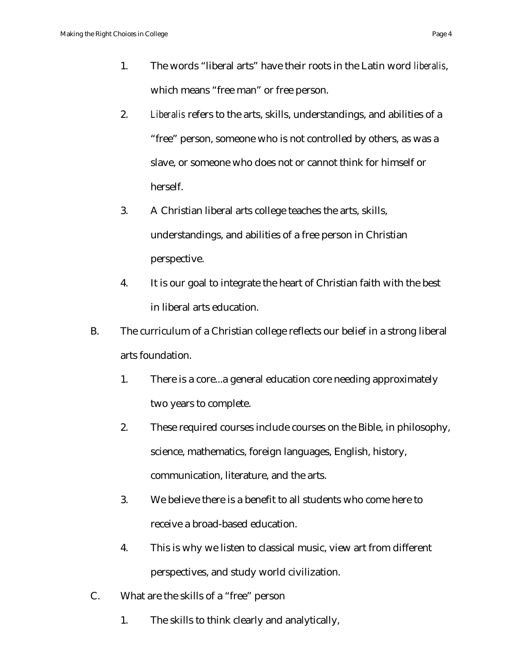- 2. *Liberalis* refers to the arts, skills, understandings, and abilities of a "free" person, someone who is not controlled by others, as was a slave, or someone who does not or cannot think for himself or herself.
- 3. A Christian liberal arts college teaches the arts, skills, understandings, and abilities of a free person in Christian perspective.
- 4. It is our goal to integrate the heart of Christian faith with the best in liberal arts education.
- B. The curriculum of a Christian college reflects our belief in a strong liberal arts foundation.
	- 1. There is a core...a general education core needing approximately two years to complete.
	- 2. These required courses include courses on the Bible, in philosophy, science, mathematics, foreign languages, English, history, communication, literature, and the arts.
	- 3. We believe there is a benefit to all students who come here to receive a broad-based education.
	- 4. This is why we listen to classical music, view art from different perspectives, and study world civilization.
- C. What are the skills of a "free" person
	- 1. The skills to think clearly and analytically,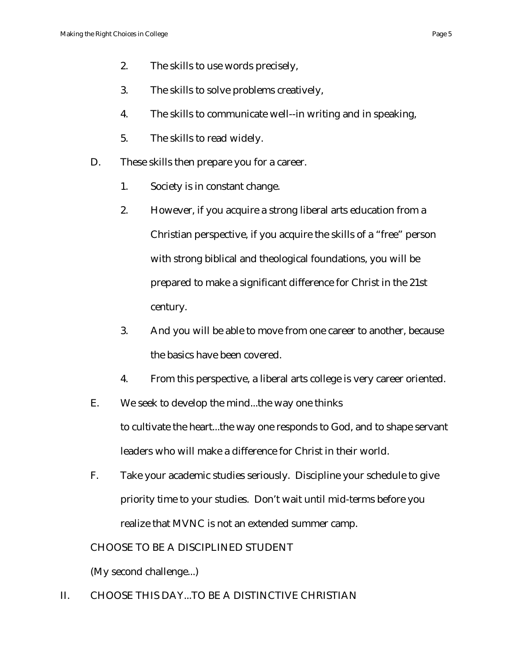- 3. The skills to solve problems creatively,
- 4. The skills to communicate well--in writing and in speaking,
- 5. The skills to read widely.
- D. These skills then prepare you for a career.
	- 1. Society is in constant change.
	- 2. However, if you acquire a strong liberal arts education from a Christian perspective, if you acquire the skills of a "free" person with strong biblical and theological foundations, you will be prepared to make a significant difference for Christ in the 21st century.
	- 3. And you will be able to move from one career to another, because the basics have been covered.
	- 4. From this perspective, a liberal arts college is very career oriented.
- E. We seek to develop the mind...the way one thinks to cultivate the heart...the way one responds to God, and to shape servant leaders who will make a difference for Christ in their world.
- F. Take your academic studies seriously. Discipline your schedule to give priority time to your studies. Don't wait until mid-terms before you realize that MVNC is not an extended summer camp.

CHOOSE TO BE A DISCIPLINED STUDENT

(My second challenge...)

II. CHOOSE THIS DAY...TO BE A DISTINCTIVE CHRISTIAN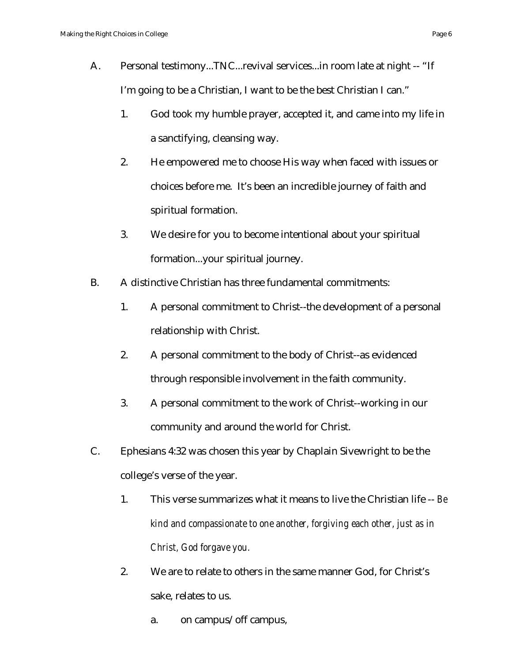- A. Personal testimony...TNC...revival services...in room late at night -- "If I'm going to be a Christian, I want to be the best Christian I can."
	- 1. God took my humble prayer, accepted it, and came into my life in a sanctifying, cleansing way.
	- 2. He empowered me to choose His way when faced with issues or choices before me. It's been an incredible journey of faith and spiritual formation.
	- 3. We desire for you to become intentional about your spiritual formation...your spiritual journey.
- B. A distinctive Christian has three fundamental commitments:
	- 1. A personal commitment to Christ--the development of a personal relationship with Christ.
	- 2. A personal commitment to the body of Christ--as evidenced through responsible involvement in the faith community.
	- 3. A personal commitment to the work of Christ--working in our community and around the world for Christ.
- C. Ephesians 4:32 was chosen this year by Chaplain Sivewright to be the college's verse of the year.
	- 1. This verse summarizes what it means to live the Christian life -- *Be kind and compassionate to one another, forgiving each other, just as in Christ, God forgave you.*
	- 2. We are to relate to others in the same manner God, for Christ's sake, relates to us.
		- a. on campus/off campus,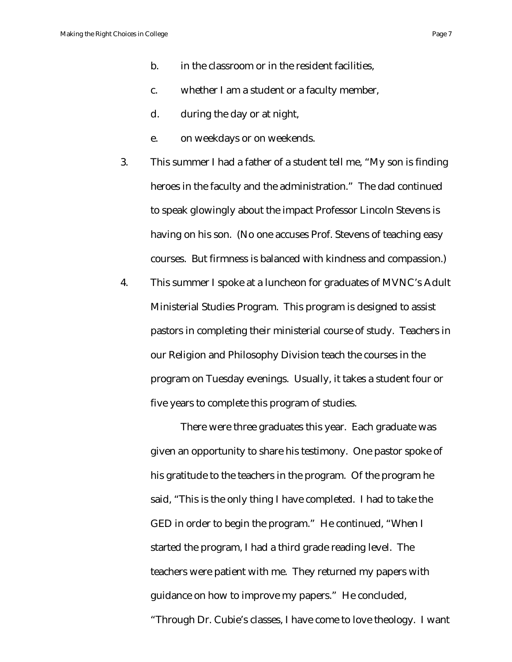- b. in the classroom or in the resident facilities,
- c. whether I am a student or a faculty member,
- d. during the day or at night,
- e. on weekdays or on weekends.
- 3. This summer I had a father of a student tell me, "My son is finding heroes in the faculty and the administration." The dad continued to speak glowingly about the impact Professor Lincoln Stevens is having on his son. (No one accuses Prof. Stevens of teaching easy courses. But firmness is balanced with kindness and compassion.)
- 4. This summer I spoke at a luncheon for graduates of MVNC's Adult Ministerial Studies Program. This program is designed to assist pastors in completing their ministerial course of study. Teachers in our Religion and Philosophy Division teach the courses in the program on Tuesday evenings. Usually, it takes a student four or five years to complete this program of studies.

There were three graduates this year. Each graduate was given an opportunity to share his testimony. One pastor spoke of his gratitude to the teachers in the program. Of the program he said, "This is the only thing I have completed. I had to take the GED in order to begin the program." He continued, "When I started the program, I had a third grade reading level. The teachers were patient with me. They returned my papers with guidance on how to improve my papers." He concluded, "Through Dr. Cubie's classes, I have come to love theology. I want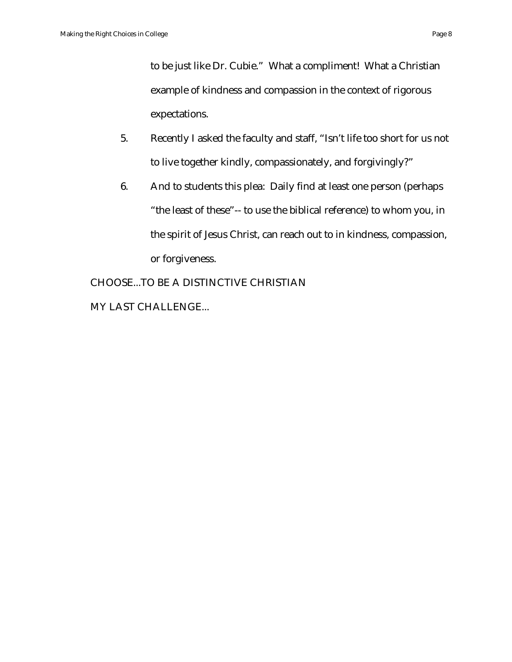to be just like Dr. Cubie." What a compliment! What a Christian example of kindness and compassion in the context of rigorous expectations.

- 5. Recently I asked the faculty and staff, "Isn't life too short for us not to live together kindly, compassionately, and forgivingly?"
- 6. And to students this plea: Daily find at least one person (perhaps "the least of these"-- to use the biblical reference) to whom you, in the spirit of Jesus Christ, can reach out to in kindness, compassion, or forgiveness.

CHOOSE...TO BE A DISTINCTIVE CHRISTIAN MY LAST CHALLENGE...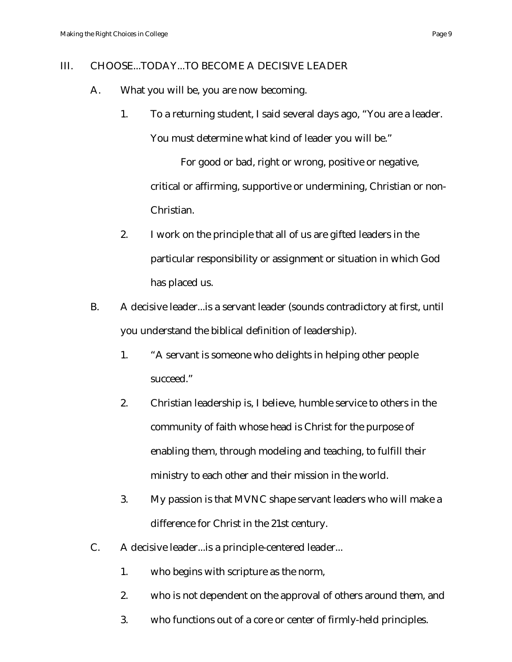#### III. CHOOSE...TODAY...TO BECOME A DECISIVE LEADER

- A. What you will be, you are now becoming.
	- 1. To a returning student, I said several days ago, "You are a leader. You must determine what kind of leader you will be."

For good or bad, right or wrong, positive or negative, critical or affirming, supportive or undermining, Christian or non-Christian.

- 2. I work on the principle that all of us are gifted leaders in the particular responsibility or assignment or situation in which God has placed us.
- B. A decisive leader...is a servant leader (sounds contradictory at first, until you understand the biblical definition of leadership).
	- 1. "A servant is someone who delights in helping other people succeed."
	- 2. Christian leadership is, I believe, humble service to others in the community of faith whose head is Christ for the purpose of enabling them, through modeling and teaching, to fulfill their ministry to each other and their mission in the world.
	- 3. My passion is that MVNC shape servant leaders who will make a difference for Christ in the 21st century.
- C. A decisive leader...is a principle-centered leader...
	- 1. who begins with scripture as the norm,
	- 2. who is not dependent on the approval of others around them, and
	- 3. who functions out of a core or center of firmly-held principles.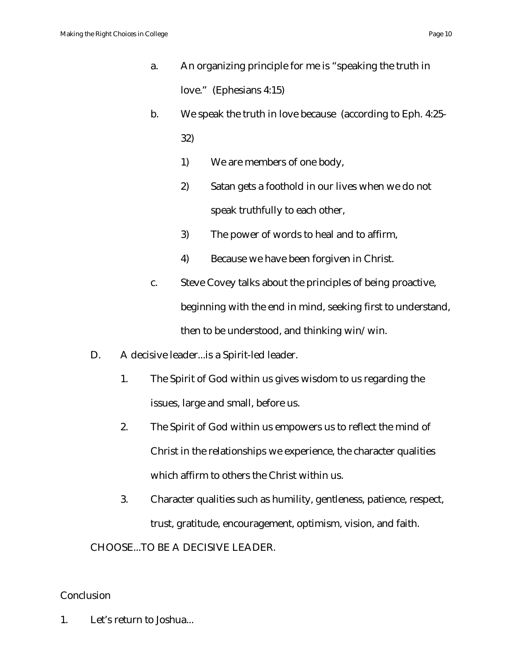- a. An organizing principle for me is "speaking the truth in love." (Ephesians 4:15)
- b. We speak the truth in love because (according to Eph. 4:25- 32)
	- 1) We are members of one body,
	- 2) Satan gets a foothold in our lives when we do not speak truthfully to each other,
	- 3) The power of words to heal and to affirm,
	- 4) Because we have been forgiven in Christ.
- c. Steve Covey talks about the principles of being proactive, beginning with the end in mind, seeking first to understand, then to be understood, and thinking win/win.
- D. A decisive leader...is a Spirit-led leader.
	- 1. The Spirit of God within us gives wisdom to us regarding the issues, large and small, before us.
	- 2. The Spirit of God within us empowers us to reflect the mind of Christ in the relationships we experience, the character qualities which affirm to others the Christ within us.
	- 3. Character qualities such as humility, gentleness, patience, respect, trust, gratitude, encouragement, optimism, vision, and faith.

CHOOSE...TO BE A DECISIVE LEADER.

# **Conclusion**

1. Let's return to Joshua...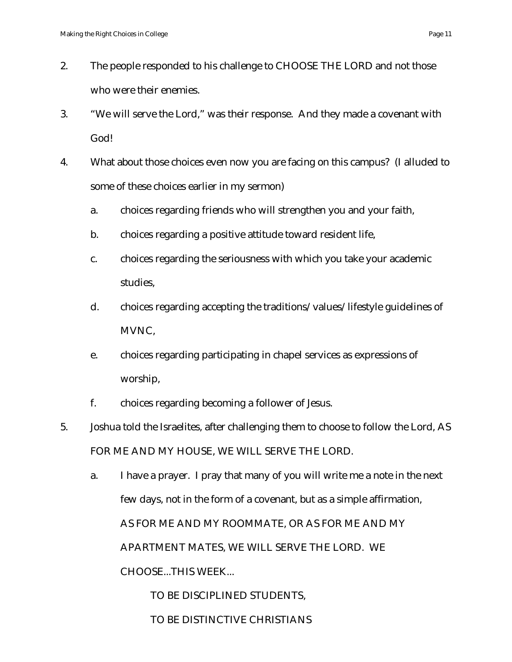- 2. The people responded to his challenge to CHOOSE THE LORD and not those who were their enemies.
- 3. "We will serve the Lord," was their response. And they made a covenant with God!
- 4. What about those choices even now you are facing on this campus? (I alluded to some of these choices earlier in my sermon)
	- a. choices regarding friends who will strengthen you and your faith,
	- b. choices regarding a positive attitude toward resident life,
	- c. choices regarding the seriousness with which you take your academic studies,
	- d. choices regarding accepting the traditions/values/lifestyle guidelines of MVNC,
	- e. choices regarding participating in chapel services as expressions of worship,
	- f. choices regarding becoming a follower of Jesus.
- 5. Joshua told the Israelites, after challenging them to choose to follow the Lord, AS FOR ME AND MY HOUSE, WE WILL SERVE THE LORD.
	- a. I have a prayer. I pray that many of you will write me a note in the next few days, not in the form of a covenant, but as a simple affirmation, AS FOR ME AND MY ROOMMATE, OR AS FOR ME AND MY APARTMENT MATES, WE WILL SERVE THE LORD. WE CHOOSE...THIS WEEK...

TO BE DISCIPLINED STUDENTS,

# TO BE DISTINCTIVE CHRISTIANS